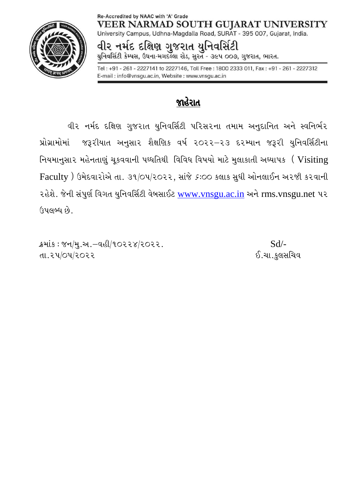#### Re-Accredited by NAAC with 'A' Grade **VEER NARMAD SOUTH GUJARAT UNIVERSITY**



University Campus, Udhna-Magdalla Road, SURAT - 395 007, Gujarat, India.

વીર નર્મદ દક્ષિણ ગુજરાત યુનિવર્સિટી યુનિવર્સિટી કેમ્પસ, ઉધના-મગદલ્લા રોડ, સુરત - ૩૯૫ ૦૦૭, ગુજરાત, ભારત.

Tel: +91 - 261 - 2227141 to 2227146, Toll Free: 1800 2333 011, Fax: +91 - 261 - 2227312 E-mail: info@vnsgu.ac.in, Website: www.vnsgu.ac.in

### જાહેરાત

વીર નર્મદ દક્ષિણ ગુજરાત યુનિવર્સિટી પરિસરના તમામ અનુદાનિત અને સ્વનિર્ભર પ્રોગ્રામોમાં જરૂરીયાત અનુસાર શૈક્ષણિક વર્ષ ૨૦૨૨–૨૩ દરમ્યાન જરૂરી યુનિવર્સિટીના નિયમાનુસાર મહેનતાણું ચૂકવવાની પઘ્ધતિથી વિવિધ વિષયો માટે મુલાકાતી અઘ્યાપક (Visiting  $Faculty$  ) ઉમેદવારોએ તા. ૩૧/૦૫/૨૦૨૨, સાંજે  $s:$ ૦૦ કલાક સુધી ઓનલાઈન અરજી કરવાની રહેશે. જેની સંપુર્ણ વિગત યુનિવર્સિટી વેબસાઈટ [www.vnsgu.ac.in](http://www.vnsgu.ac.in/) અને rms.vnsgu.net પર ઉપલબ્ધ છે.

 $S$  $\mathcal{B}$   $S$  $\mathcal{B}$   $\mathcal{B}$   $\mathcal{B}$   $\mathcal{B}$   $\mathcal{B}$   $\mathcal{B}$   $\mathcal{B}$   $\mathcal{B}$   $\mathcal{B}$   $\mathcal{B}$   $\mathcal{B}$   $\mathcal{B}$   $\mathcal{B}$   $\mathcal{B}$   $\mathcal{B}$   $\mathcal{B}$   $\mathcal{B}$   $\mathcal{B}$   $\mathcal{B}$   $\mathcal{B}$   $\mathcal{B}$   $\mathcal{B}$   $\mathcal{B}$ તા.૨૫/૦૫/૨૦૨૨ . જિલ્લાના મુજબ ૧૧ માટે તા.૨૧/૦૫/૨૦૨૨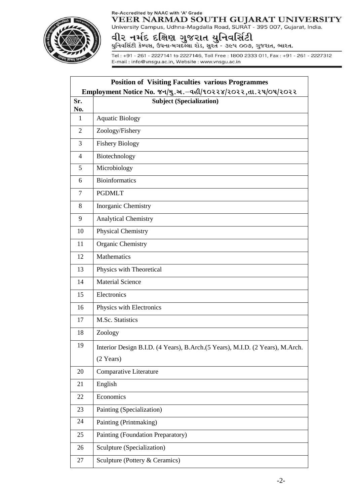### Re-Accredited by NAAC with 'A' Grade



VEER NARMAD SOUTH GUJARAT UNIVERSITY<br>University Campus, Udhna-Magdalla Road, SURAT - 395 007, Gujarat, India.

# વીર નર્મદ દક્ષિણ ગુજરાત યુનિવર્સિટી<br>યુનિવર્સિટી કેમ્પસ, ઉધના-મગદલ્લા રોડ, સુરત - ૩૯૫ ૦૦૭, ગુજરાત, ભારત.

Tel: +91 - 261 - 2227141 to 2227146, Toll Free: 1800 2333 011, Fax: +91 - 261 - 2227312 E-mail: info@vnsgu.ac.in, Website: www.vnsgu.ac.in

| <b>Position of Visiting Faculties various Programmes</b><br>Employment Notice No. જન/મુ.અ. - વહી/૧૦૨૨૪/૨૦૨૨, તા. ૨૫/૦૫/૨૦૨૨ |                                                                                                      |
|-----------------------------------------------------------------------------------------------------------------------------|------------------------------------------------------------------------------------------------------|
| Sr.                                                                                                                         | <b>Subject (Specialization)</b>                                                                      |
| No.<br>$\mathbf{1}$                                                                                                         | <b>Aquatic Biology</b>                                                                               |
| $\overline{2}$                                                                                                              | Zoology/Fishery                                                                                      |
|                                                                                                                             |                                                                                                      |
| 3                                                                                                                           | <b>Fishery Biology</b>                                                                               |
| $\overline{4}$                                                                                                              | Biotechnology                                                                                        |
| 5                                                                                                                           | Microbiology                                                                                         |
| 6                                                                                                                           | <b>Bioinformatics</b>                                                                                |
| $\overline{7}$                                                                                                              | <b>PGDMLT</b>                                                                                        |
| 8                                                                                                                           | Inorganic Chemistry                                                                                  |
| 9                                                                                                                           | <b>Analytical Chemistry</b>                                                                          |
| 10                                                                                                                          | Physical Chemistry                                                                                   |
| 11                                                                                                                          | Organic Chemistry                                                                                    |
| 12                                                                                                                          | Mathematics                                                                                          |
| 13                                                                                                                          | Physics with Theoretical                                                                             |
| 14                                                                                                                          | <b>Material Science</b>                                                                              |
| 15                                                                                                                          | Electronics                                                                                          |
| 16                                                                                                                          | Physics with Electronics                                                                             |
| 17                                                                                                                          | M.Sc. Statistics                                                                                     |
| 18                                                                                                                          | Zoology                                                                                              |
| 19                                                                                                                          | Interior Design B.I.D. (4 Years), B.Arch.(5 Years), M.I.D. (2 Years), M.Arch.<br>$(2 \text{ Years})$ |
| 20                                                                                                                          | Comparative Literature                                                                               |
| 21                                                                                                                          | English                                                                                              |
| 22                                                                                                                          | Economics                                                                                            |
| 23                                                                                                                          | Painting (Specialization)                                                                            |
| 24                                                                                                                          | Painting (Printmaking)                                                                               |
| 25                                                                                                                          | Painting (Foundation Preparatory)                                                                    |
| 26                                                                                                                          | Sculpture (Specialization)                                                                           |
| 27                                                                                                                          | Sculpture (Pottery & Ceramics)                                                                       |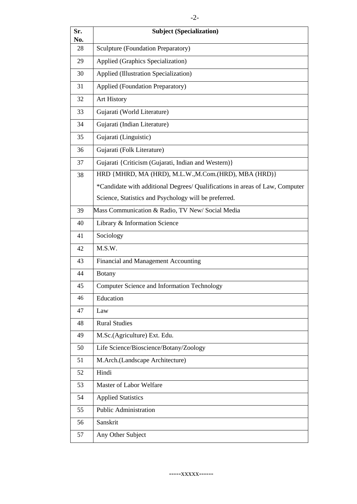| Sr.<br>No. | <b>Subject (Specialization)</b>                                              |
|------------|------------------------------------------------------------------------------|
| 28         | Sculpture (Foundation Preparatory)                                           |
| 29         | Applied (Graphics Specialization)                                            |
| 30         | Applied (Illustration Specialization)                                        |
| 31         | Applied (Foundation Preparatory)                                             |
| 32         | Art History                                                                  |
| 33         | Gujarati (World Literature)                                                  |
| 34         | Gujarati (Indian Literature)                                                 |
| 35         | Gujarati (Linguistic)                                                        |
| 36         | Gujarati (Folk Literature)                                                   |
| 37         | Gujarati {Criticism (Gujarati, Indian and Western)}                          |
| 38         | HRD {MHRD, MA (HRD), M.L.W., M.Com. (HRD), MBA (HRD)}                        |
|            | *Candidate with additional Degrees/ Qualifications in areas of Law, Computer |
|            | Science, Statistics and Psychology will be preferred.                        |
| 39         | Mass Communication & Radio, TV New/Social Media                              |
| 40         | Library & Information Science                                                |
| 41         | Sociology                                                                    |
| 42         | M.S.W.                                                                       |
| 43         | Financial and Management Accounting                                          |
| 44         | <b>Botany</b>                                                                |
| 45         | Computer Science and Information Technology                                  |
| 46         | Education                                                                    |
| 47         | Law                                                                          |
| 48         | <b>Rural Studies</b>                                                         |
| 49         | M.Sc.(Agriculture) Ext. Edu.                                                 |
| 50         | Life Science/Bioscience/Botany/Zoology                                       |
| 51         | M.Arch.(Landscape Architecture)                                              |
| 52         | Hindi                                                                        |
| 53         | Master of Labor Welfare                                                      |
| 54         | <b>Applied Statistics</b>                                                    |
| 55         | <b>Public Administration</b>                                                 |
| 56         | Sanskrit                                                                     |
| 57         | Any Other Subject                                                            |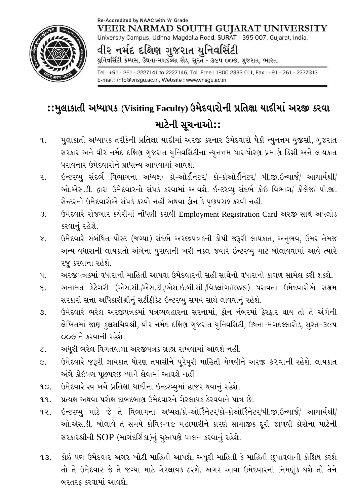### Re-Accredited by NAAC with 'A' Grade **VEER NARMAD SOUTH GUJARAT UNIVERSITY**



University Campus, Udhna-Magdalla Road, SURAT - 395 007, Gujarat, India.

વીર નર્મદ દક્ષિણ ગુજરાત યુનિવસિંટી યુનિવર્સિટી કેમ્પસ, ઉધના-મગદલ્લા રોડ, સુરત - ૩૯૫ ૦૦૭, ગુજરાત, ભારત.

Tel: +91 - 261 - 2227141 to 2227146, Toll Free: 1800 2333 011, Fax: +91 - 261 - 2227312 E-mail: info@vnsgu.ac.in, Website: www.vnsgu.ac.in

## :: મુલાકાતી અધ્યાપક (Visiting Faculty) ઉમેદવારોની પ્રતિક્ષા યાદીમાં અરજી કરવા માટેની સૂચનાઓ::

- મુલાકાતી અધ્યાપક તરીકેની પ્રતિક્ષા યાદીમાં અરજી કરનાર ઉમેદવારો પૈકી ન્યુનત્તમ યુજીસી, ગુજરાત ٩. સરકાર અને વીર નર્મદ દક્ષિણ ગુજરાત યુનિવર્સિટીના ન્યુનત્તમ ધારાધોરણ પ્રમાણે ડિગ્રી અને લાયકાત ધરાવનાર ઉમેદવારોને પ્રાધાન્ય આપવામાં આવશે.
- ર. ઓ.એસ.ડી. દ્વારા ઉમેદવારનો સંપર્ક કરવામાં આવશે. ઈન્ટરવ્યુ સંદર્ભ કોઇ વિભાગ/ કોલેજ/ પી.જી. સેન્ટરનો ઉમેદવારોએ સંપર્ક કરવો નહીં અથવા ફોન કે પુછપરછ કરવી નહીં.
- ઉમેદવારે રોજગાર કચેરીમાં નોંધણી કરાવી Employment Registration Card અરજી સાથે અપલોડ  $\mathcal{B}$ . કરવાનં રહેશે.
- ઉમેદવારે સંબંધિત પોસ્ટ (જગ્યા) સંદર્ભે અરજીપત્રકની કોપી જરૂરી લાયકાત, અનુભવ, ઉમર તેમજ  $\chi$ . અન્ય વધારાની લાયકાતો અંગેના પુરાવાની ખરી નકલ જયારે ઇન્ટરવ્યુ માટે બોલાવવામાં આવે ત્યારે રજૂ કરવાના રહેશે.
- અરજીપત્રકમાં વધારાની માહિતી આપવા ઉમેદવારની સહી સાથેનો વધારાનો કાગળ સામેલ કરી શકશે. પ.
- અનામત કેટેગરી (એસ.સી./એસ.ટી./એસ.ઇ.બી.સી./વિકલાંગ/EWS) ધરાવતાં ઉમેદવારોએ સક્ષમ  $\epsilon$ . સરકારી સત્તા અધિકારીશ્રીનું સર્ટીફીકેટ ઇન્ટરવ્યુ સમયે સાથે લાવવાનું રહેશે.
- ઉમેદવારે ભરેલ અરજીપત્રકમાં પત્રવ્યવહારના સરનામાં, ફોન નંબરમાં ફેરફાર થાય તો તે અંગેની  $\mathcal{O}$ . લેખિતમાં જાણ કુલસચિવશ્રી, વીર નર્મદ દક્ષિણ ગુજરાત યુનિવર્સિટી, ઉધના-મગદલ્લારોડ, સુરત-૩૯૫ 009 ને કરવાની રહેશે.
- અધૂરી ભરેલ વિગતવાળા અરજીપત્રક ગ્રાહ્ય રાખવામાં આવશે નહીં.  $\zeta$ .
- ઉમેદવારે જરૂરી લાયકાત ધોરણ તપાસીને પૂરેપૂરી માહિતી મેળવીને અરજી કરવાની રહેશે. લાયકાત  $\epsilon$ . અંગે કોઇપણ પૂછપરછ ધ્યાને લેવામાં આવશે નહીં
- ઉમેદવારે સ્વ ખર્ચે પ્રતિક્ષા યાદીના ઇન્ટરવ્યુમાં હાજર થવાનું રહેશે.  $90.$
- પ્રત્યક્ષ અથવા પરોક્ષ દાબદબાણ ઉમેદવારને ગેરલાયક ઠેરવવાને પાત્ર છે. 99.
- $92.$ ઓ.એસ.ડી. બોલાવે તે સમયે કોવિડ-૧૯ મહામારીને કારણે સામાજીક દુરી જાળવી કોરોના માટેની સરકારશ્રીની SOP (માર્ગદર્શિકા)નું ચુસ્તપણે પાલન કરવાનું રહેશે.
- કોઇ પણ ઉમેદવાર અગર ખોટી માહિતી આપશે, અધુરી માહિતી કે માહિતી છુપાવવાની કોશિષ કરશે  $93.$ તો તે ઉમેદવાર જે તે જગ્યા માટે ગેરલાયક ઠરશે. અગર આવા ઉમેદવારની નિમણૂંક થશે તો તેને બરતરફ કરવામાં આવશે.